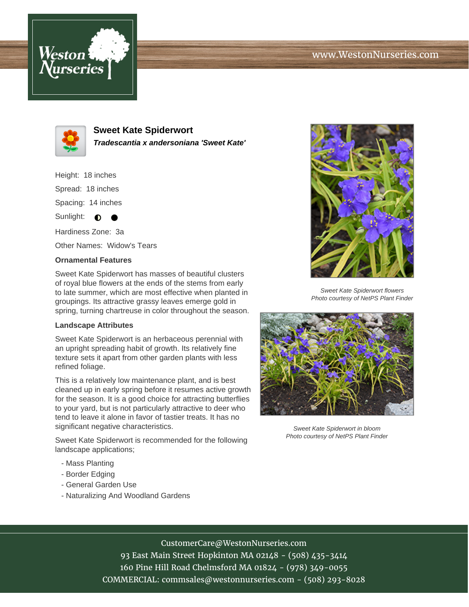## www.WestonNurseries.com





**Sweet Kate Spiderwort Tradescantia x andersoniana 'Sweet Kate'**

Height: 18 inches Spread: 18 inches Spacing: 14 inches Sunlight:  $\bullet$ Hardiness Zone: 3a

Other Names: Widow's Tears

## **Ornamental Features**

Sweet Kate Spiderwort has masses of beautiful clusters of royal blue flowers at the ends of the stems from early to late summer, which are most effective when planted in groupings. Its attractive grassy leaves emerge gold in spring, turning chartreuse in color throughout the season.

## **Landscape Attributes**

Sweet Kate Spiderwort is an herbaceous perennial with an upright spreading habit of growth. Its relatively fine texture sets it apart from other garden plants with less refined foliage.

This is a relatively low maintenance plant, and is best cleaned up in early spring before it resumes active growth for the season. It is a good choice for attracting butterflies to your yard, but is not particularly attractive to deer who tend to leave it alone in favor of tastier treats. It has no significant negative characteristics.

Sweet Kate Spiderwort is recommended for the following landscape applications;

- Mass Planting
- Border Edging
- General Garden Use
- Naturalizing And Woodland Gardens



Sweet Kate Spiderwort flowers Photo courtesy of NetPS Plant Finder



Sweet Kate Spiderwort in bloom Photo courtesy of NetPS Plant Finder

CustomerCare@WestonNurseries.com

93 East Main Street Hopkinton MA 02148 - (508) 435-3414 160 Pine Hill Road Chelmsford MA 01824 - (978) 349-0055 COMMERCIAL: commsales@westonnurseries.com - (508) 293-8028